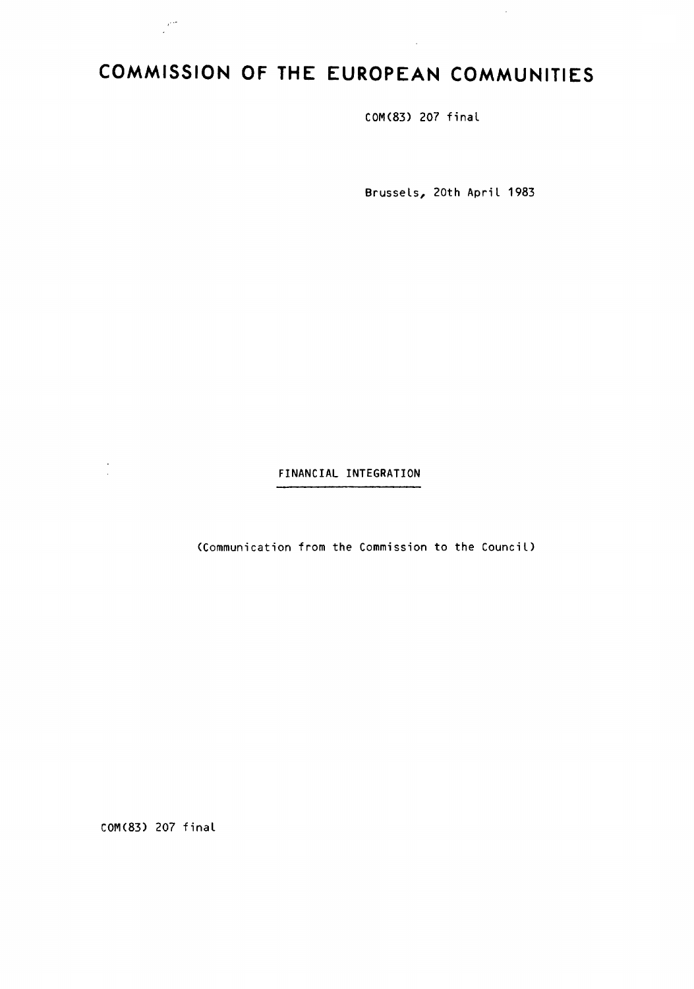# **COMMISSION OF THE EUROPEAN COMMUNITIES**

COM(83) 207 final

Brussels, 20th April 1983

 $\bar{z}$ 

FINANCIAL INTEGRATION

(Communication from the Commission to the Council)

COM(83) 207 final

 $\frac{1}{2}$  ,  $\frac{1}{2}$ 

 $\frac{1}{2}$  and  $\frac{1}{2}$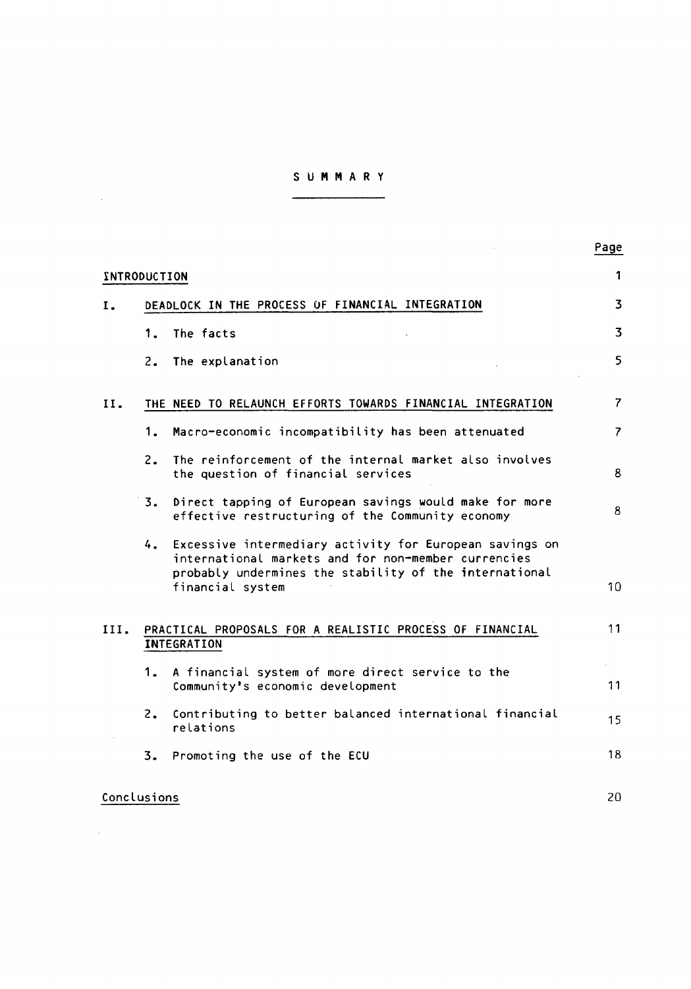# S U M M A R Y

 $\mathcal{L}^{\text{max}}_{\text{max}}$  and  $\mathcal{L}^{\text{max}}_{\text{max}}$ 

 $\mathcal{L}^{\text{max}}_{\text{max}}$  and  $\mathcal{L}^{\text{max}}_{\text{max}}$ 

|              |                                                                                |                                                                                                                                                                                                 | Page                     |
|--------------|--------------------------------------------------------------------------------|-------------------------------------------------------------------------------------------------------------------------------------------------------------------------------------------------|--------------------------|
| INTRODUCTION |                                                                                |                                                                                                                                                                                                 | 1                        |
| Ι.           | DEADLOCK IN THE PROCESS OF FINANCIAL INTEGRATION                               |                                                                                                                                                                                                 | $\overline{\mathbf{3}}$  |
|              | 1.                                                                             | The facts                                                                                                                                                                                       | $\overline{3}$           |
|              |                                                                                | 2. The explanation                                                                                                                                                                              | 5                        |
| II.          |                                                                                | THE NEED TO RELAUNCH EFFORTS TOWARDS FINANCIAL INTEGRATION                                                                                                                                      | $\overline{7}$           |
|              | 1.                                                                             | Macro-economic incompatibility has been attenuated                                                                                                                                              | $\overline{\mathcal{L}}$ |
|              | $2 -$                                                                          | The reinforcement of the internal market also involves<br>the question of financial services                                                                                                    | 8                        |
|              | 3.                                                                             | Direct tapping of European savings would make for more<br>effective restructuring of the Community economy                                                                                      | 8                        |
|              |                                                                                | 4. Excessive intermediary activity for European savings on<br>international markets and for non-member currencies<br>probably undermines the stability of the international<br>financial system | 10                       |
| III.         | PRACTICAL PROPOSALS FOR A REALISTIC PROCESS OF FINANCIAL<br><b>INTEGRATION</b> |                                                                                                                                                                                                 | 11                       |
|              | 1.                                                                             | A financial system of more direct service to the<br>Community's economic development                                                                                                            | 11                       |
|              | 2.                                                                             | Contributing to better balanced international financial<br>relations                                                                                                                            | 15                       |
|              |                                                                                | 3. Promoting the use of the ECU                                                                                                                                                                 | 18                       |
| Conclusions  |                                                                                |                                                                                                                                                                                                 | 20                       |

# Page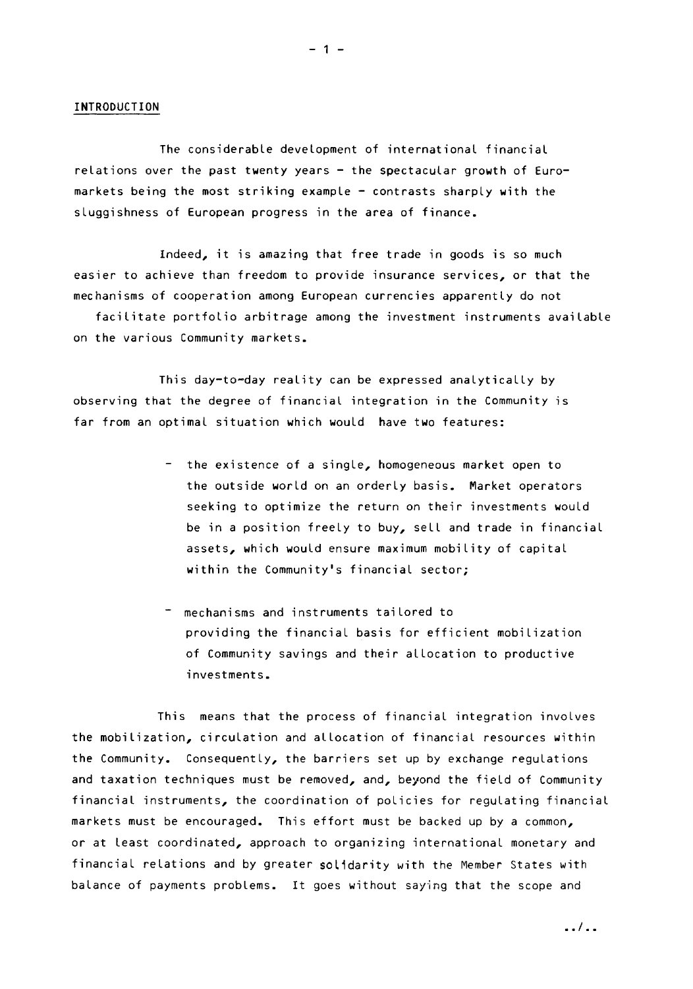#### INTRODUCTION

The considerable development of international financial relations over the past twenty years  $-$  the spectacular growth of Euromarkets being the most striking example - contrasts sharply with the sluggishness of European progress in the area of finance.

Indeed, it is amazing that free trade in goods is so much easier to achieve than freedom to provide insurance services, or that the mechanisms of cooperation among European currencies apparently do not

facilitate portfolio arbitrage among the investment instruments available on the various Community markets.

This day-to-day reality can be expressed analytically by observing that the degree of financial integration in the Community is far from an optimal situation which would have two features:

- the existence of a single, homogeneous market open to the outside world on an orderly basis. Market operators seeking to optimize the return on their investments would be in a position freely to buy, sell and trade in financial assets, which would ensure maximum mobility of capital within the Community's financial sector;
- mechanisms and instruments tailored to providing the financial basis for efficient mobilization of Community savings and their allocation to productive investments.

This means that the process of financial integration involves the mobilization, circulation and allocation of financial resources within the Community. Consequently, the barriers set up by exchange regulations and taxation techniques must be removed, and, beyond the field of Community financial instruments, the coordination of policies for regulating financial markets must be encouraged. This effort must be backed up by a common, or at least coordinated, approach to organizing international monetary and financial relations and by greater solidarity with the Member States with balance of payments problems. It goes without saying that the scope and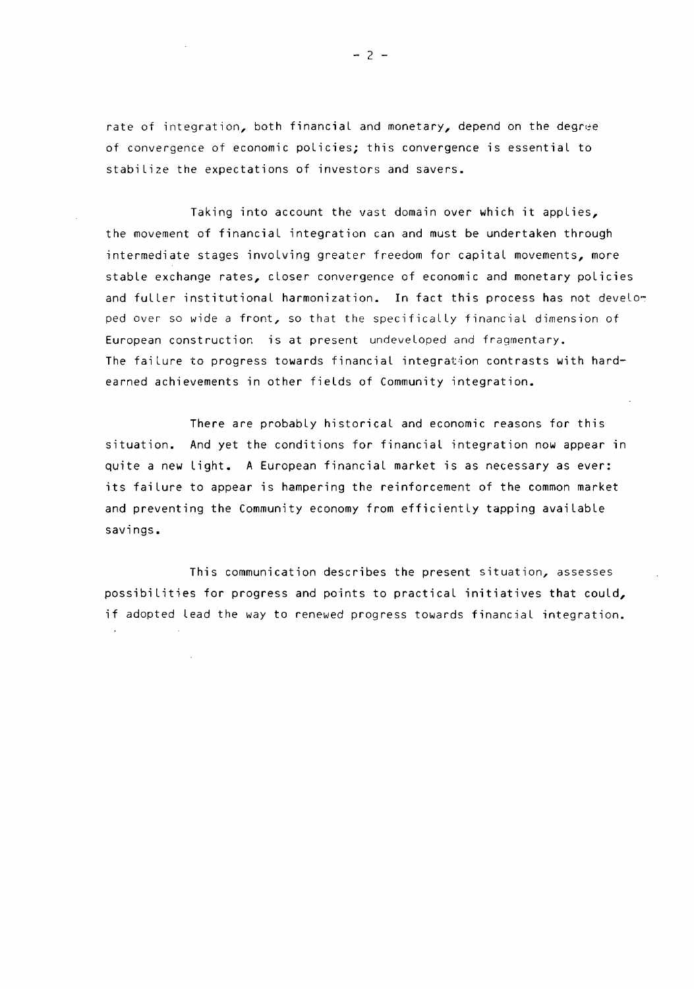rate of integration, both financial and monetary, depend on the degree of convergence of economic policies; this convergence is essential to stabilize the expectations of investors and savers.

Taking into account the vast domain over which it applies, the movement of financial integration can and must be undertaken through intermediate stages involving greater freedom for capital movements, more stable exchange rates, closer convergence of economic and monetary policies and fuller institutional harmonization. In fact this process has not develor ped over so wide a front, so that the specifically financial dimension of European construction is at present undeveloped and fragmentary. The failure to progress towards financial integration contrasts with hardearned achievements in other fields of Community integration.

There are probably historical and economic reasons for this situation. And yet the conditions for financial integration now appear in quite a new Light. A European financial market is as necessary as ever: its failure to appear is hampering the reinforcement of the common market and preventing the Community economy from efficiently tapping available savings.

This communication describes the present situation, assesses possibilities for progress and points to practical initiatives that could, if adopted Lead the way to renewed progress towards financial integration.

 $- 2 -$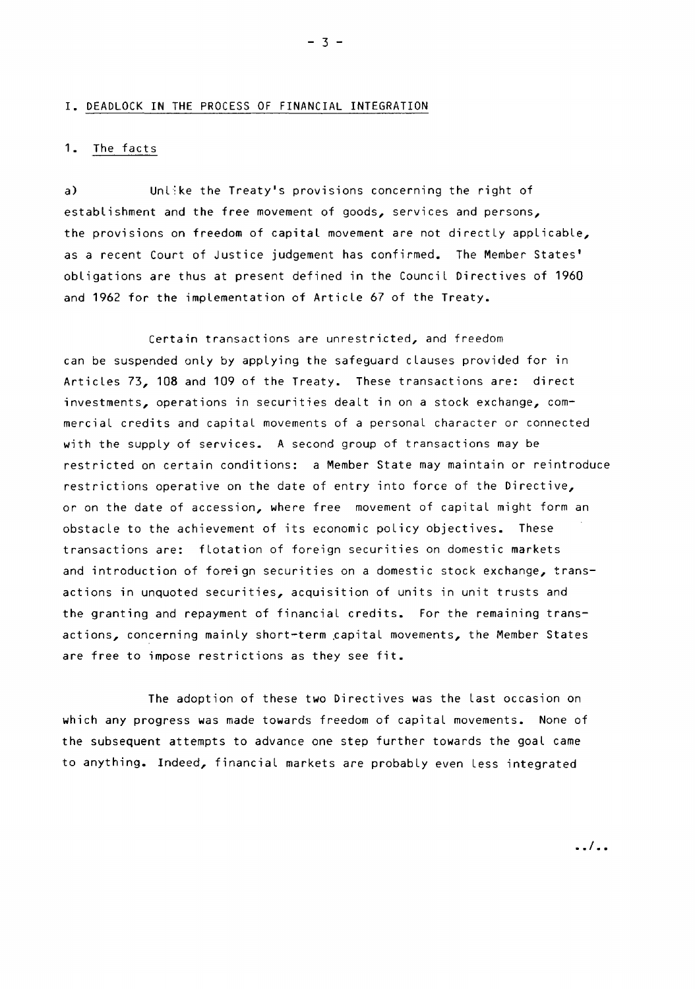#### I. DEADLOCK IN THE PROCESS OF FINANCIAL INTEGRATION

### 1. The facts

a) Unl: ke the Treaty's provisions concerning the right of establishment and the free movement of goods, services and persons, the provisions on freedom of capital movement are not directly applicable, as a recent Court of Justice judgement has confirmed. The Member States' obligations are thus at present defined in the Council Directives of 1960 and 1962 for the implementation of Article 67 of the Treaty.

Certain transactions are unrestricted, and freedom can be suspended only by applying the safeguard clauses provided for in Articles 73, 108 and 109 of the Treaty. These transactions are: direct investments, operations in securities dealt in on a stock exchange, commercial credits and capital movements of a personal character or connected with the supply of services. A second group of transactions may be restricted on certain conditions: a Member State may maintain or reintroduce restrictions operative on the date of entry into force of the Directive, or on the date of accession, where free movement of capital might form an obstacle to the achievement of its economic policy objectives. These transactions are: flotation of foreign securities on domestic markets and introduction of foreign securities on a domestic stock exchange, transactions in unquoted securities, acquisition of units in unit trusts and the granting and repayment of financial credits. For the remaining transactions, concerning mainly short-term capital movements, the Member States are free to impose restrictions as they see fit.

The adoption of these two Directives was the Last occasion on which any progress was made towards freedom of capital movements. None of the subsequent attempts to advance one step further towards the goal came to anything. Indeed, financial markets are probably even Less integrated

 $-3 -$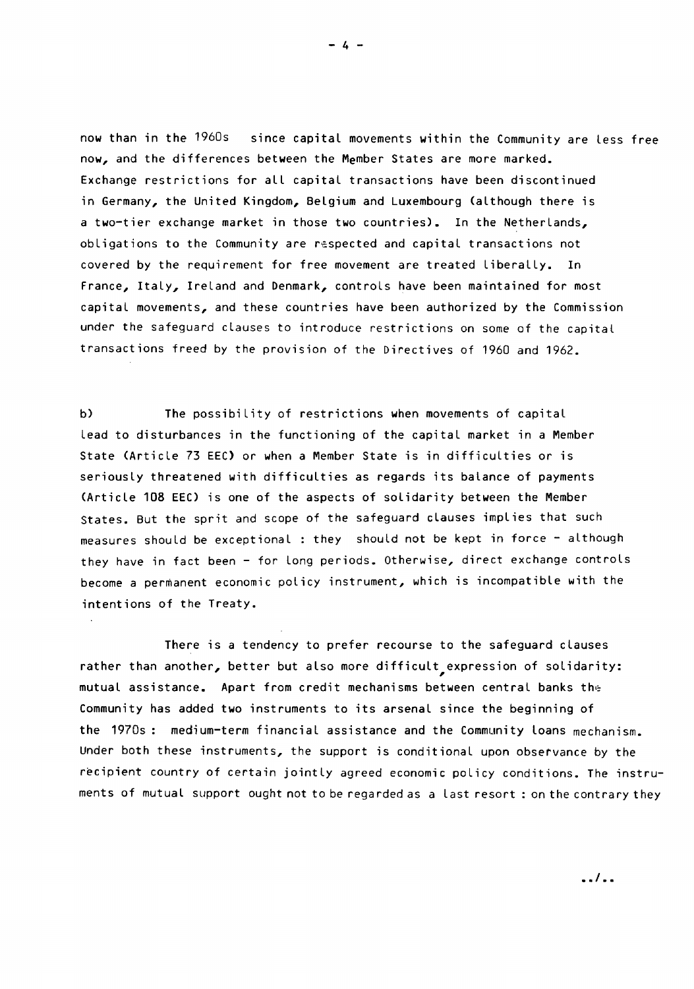now than in the 1960s since capital movements within the Community are less free now, and the differences between the Member States are more marked. Exchange restrictions for all capital transactions have been discontinued in Germany, the United Kingdom, Belgium and Luxembourg (although there is a two-tier exchange market in those two countries). In the Netherlands, obligations to the Community are respected and capital transactions not covered by the requirement for free movement are treated Liberally. In France, Italy, Ireland and Denmark, controls have been maintained for most capital movements, and these countries have been authorized by the Commission under the safeguard clauses to introduce restrictions on some of the capital transactions freed by the provision of the Directives of 1960 and 1962.

b) The possibility of restrictions when movements of capital lead to disturbances in the functioning of the capital market in a Member State (Article 73 EEC) or when a Member State is in difficulties or is seriously threatened with difficulties as regards its balance of payments (Article 108 EEC) is one of the aspects of solidarity between the Member States. But the sprit and scope of the safeguard clauses implies that such measures should be exceptional : they should not be kept in force - although they have in fact been - for long periods. Otherwise, direct exchange controls become a permanent economic policy instrument, which is incompatible with the intentions of the Treaty.

There is a tendency to prefer recourse to the safeguard clauses rather than another, better but also more difficult expression of solidarity: mutual assistance. Apart from credit mechanisms between central banks the Community has added two instruments to its arsenal since the beginning of the 1970s: medium-term financial assistance and the Community loans mechanism. Under both these instruments, the support is conditional upon observance by the recipient country of certain jointly agreed economic policy conditions. The instruments of mutual support ought not to be regarded as a last resort : on the contrary they

 $- 4 -$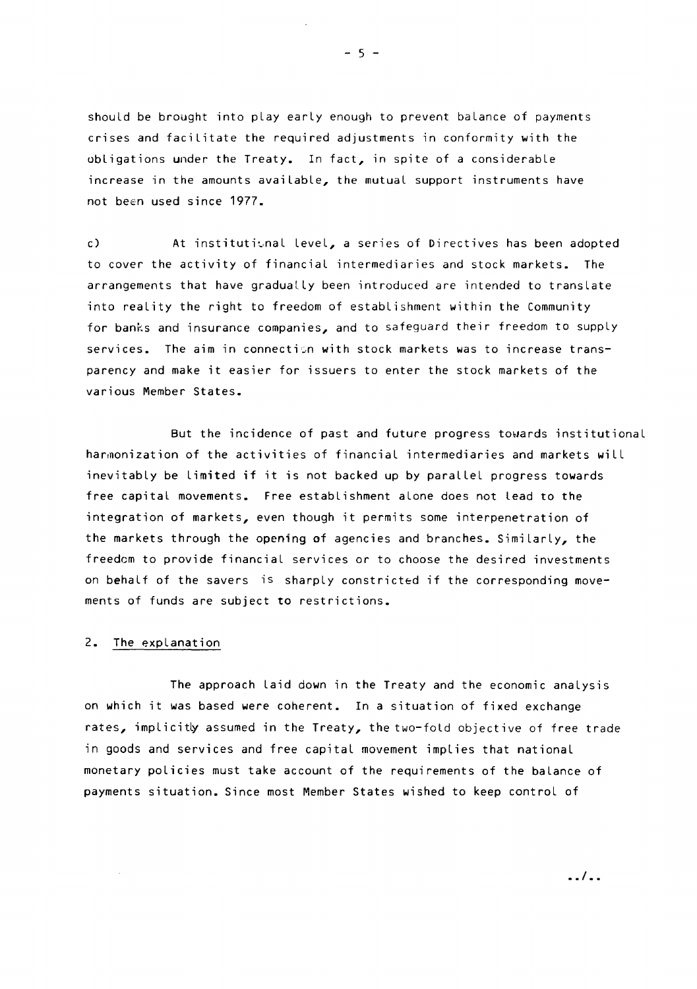should be brought into play early enough to prevent balance of payments crises and facilitate the required adjustments in conformity with the obligations under the Treaty. In fact, in spite of a considerable increase in the amounts available, the mutual support instruments have not been used since 1977.

c) At institutional level, a series of Directives has been adopted to cover the activity of financial intermediaries and stock markets. The arrangements that have gradually been introduced are intended to translate into reality the right to freedom of establishment within the Community for banks and insurance companies, and to safeguard their freedom to supply services. The aim in connectisn with stock markets was to increase transparency and make it easier for issuers to enter the stock markets of the various Member States.

But the incidence of past and future progress towards institutional harmonization of the activities of financial intermediaries and markets will inevitably be Limited if it is not backed up by parallel progress towards free capital movements. Free establishment alone does not Lead to the integration of markets, even though it permits some interpenetration of the markets through the opening of agencies and branches. Similarly, the freedom to provide financial services or to choose the desired investments on behalf of the savers is sharply constricted if the corresponding movements of funds are subject to restrictions.

### 2. The explanation

The approach Laid down in the Treaty and the economic analysis on which it was based were coherent. In a situation of fixed exchange rates, implicitly assumed in the Treaty, the two-fold objective of free trade in goods and services and free capital movement implies that national monetary policies must take account of the requirements of the balance of payments situation. Since most Member States wished to keep control of

 $- 5 -$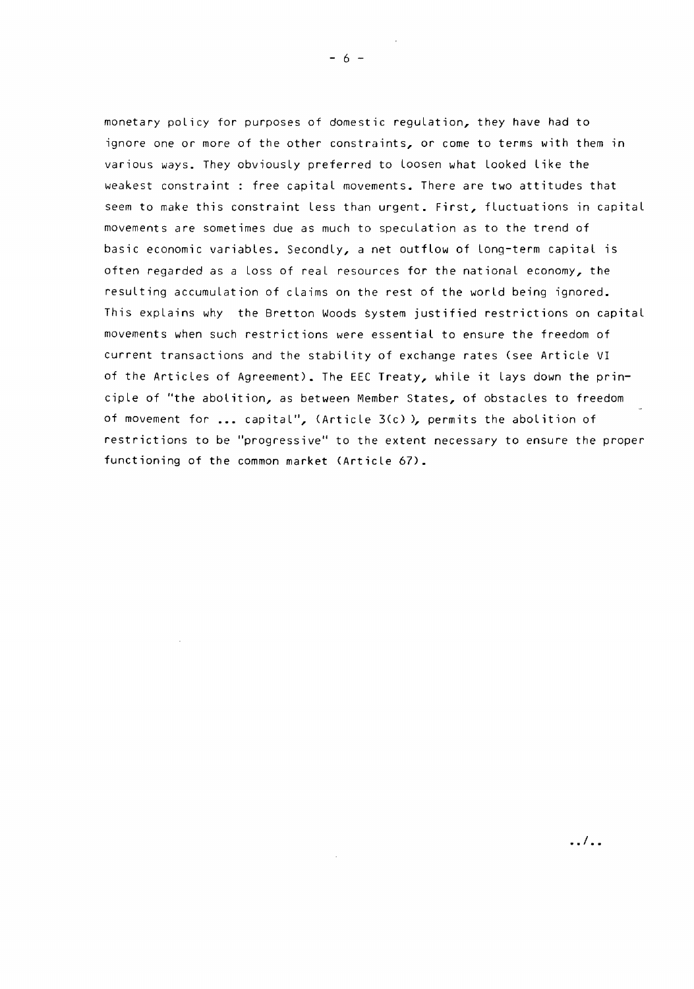monetary policy for purposes of domestic regulation, they have had to ignore one or more of the other constraints, or come to terms with them in various ways. They obviously preferred to Loosen what Looked Like the weakest constraint : free capital movements. There are two attitudes that seem to make this constraint less than urgent. First, fluctuations in capital movements are sometimes due as much to speculation as to the trend of basic economic variables. Secondly, a net outflow of long-term capital is often regarded as a loss of real resources for the national economy, the resulting accumulation of claims on the rest of the world being ignored. This explains why the Bretton Woods system justified restrictions on capital movements when such restrictions were essential to ensure the freedom of current transactions and the stability of exchange rates (see Article VI of the Articles of Agreement). The EEC Treaty, while it Lays down the principle of "the abolition, as between Member States, of obstacles to freedom of movement for  $\ldots$  capital", (Article 3(c)), permits the abolition of restrictions to be "progressive" to the extent necessary to ensure the proper functioning of the common market (Article 67).

 $\ldots$ 

 $- 6 -$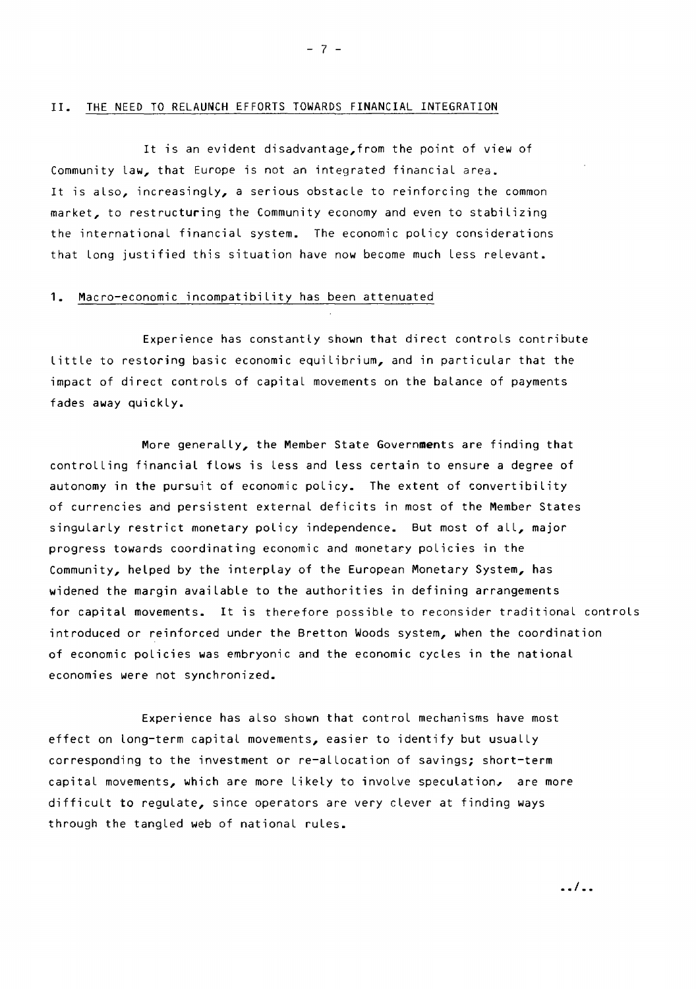#### II. THE NEED TO RELAUNCH EFFORTS TOWARDS FINANCIAL INTEGRATION

It is an evident disadvantage,from the point of view of Community law, that Europe is not an integrated financial area. It is also, increasingly, a serious obstacle to reinforcing the common market, to restructuring the Community economy and even to stabilizing the international financial system. The economic policy considerations that Long justified this situation have now become much Less relevant.

### 1. Macro-economic incompatibility has been attenuated

Experience has constantly shown that direct controls contribute Little to restoring basic economic equilibrium, and in particular that the impact of direct controls of capital movements on the balance of payments fades away quickly.

More generally, the Member State Governments are finding that controlling financial flows is Less and less certain to ensure a degree of autonomy in the pursuit of economic policy. The extent of convertibility of currencies and persistent external deficits in most of the Member States singularly restrict monetary policy independence. But most of all, major progress towards coordinating economic and monetary policies in the Community, helped by the interplay of the European Monetary System, has widened the margin available to the authorities in defining arrangements for capital movements. It is therefore possible to reconsider traditional controls introduced or reinforced under the Bretton Woods system, when the coordination of economic policies was embryonic and the economic cycles in the national economies were not synchronized.

Experience has also shown that control mechanisms have most effect on long-term capital movements, easier to identify but usually corresponding to the investment or re-allocation of savings; short-term capital movements, which are more Likely to involve speculation, are more difficult to regulate, since operators are very clever at finding ways through the tangled web of national rules.

 $- 7 -$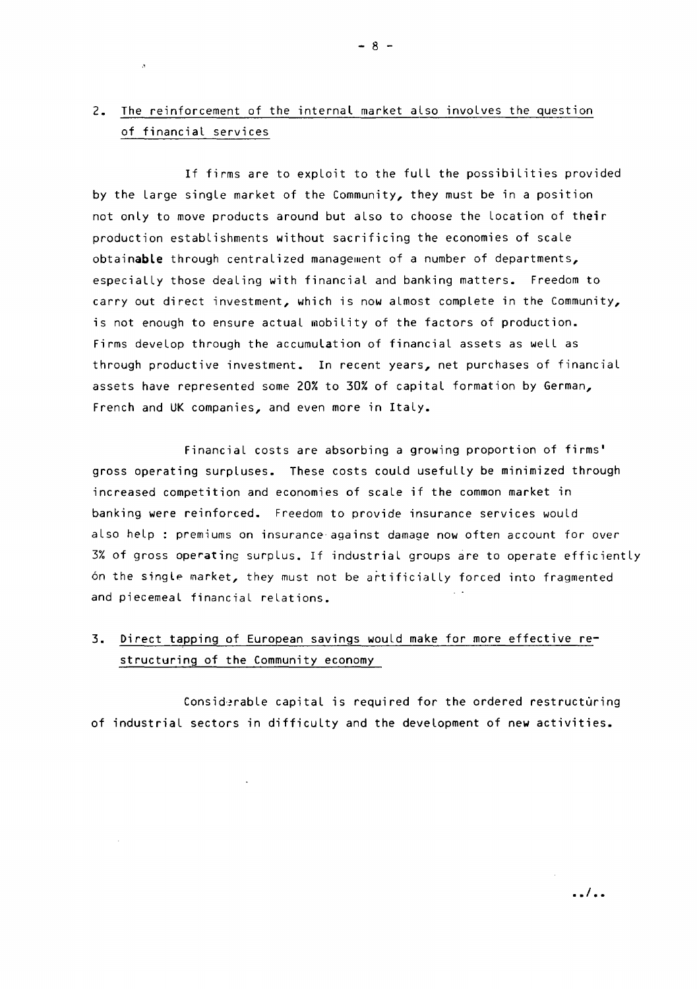# 2. The reinforcement of the internal market also involves the question of financial services

 $\sim 10^{-1}$ 

If firms are to exploit to the full the possibilities provided by the Large single market of the Community, they must be in a position not only to move products around but also to choose the Location of their production establishments without sacrificing the economies of scale obtainable through centralized management of a number of departments, especially those dealing with financial and banking matters. Freedom to carry out direct investment, which is now almost complete in the Community, is not enough to ensure actual mobility of the factors of production. Firms develop through the accumulation of financial assets as well as through productive investment. In recent years, net purchases of financial assets have represented some 20% to 30% of capital formation by German, French and UK companies, and even more in Italy.

Financial costs are absorbing a growing proportion of firms' gross operating surpluses. These costs could usefully be minimized through increased competition and economies of scale if the common market in banking were reinforced. Freedom to provide insurance services would also help : premiums on insurance against damage now often account for over 3% of gross operating surplus. If industrial groups are to operate efficiently 6n the singl~ market, they must not be artificially forced into fragmented and piecemeal financial relations.

# 3. Direct tapping of European savings would make for more effective restructuring of the Community economy

Considerable capital is required for the ordered restructuring of industrial sectors in difficulty and the development of new activities.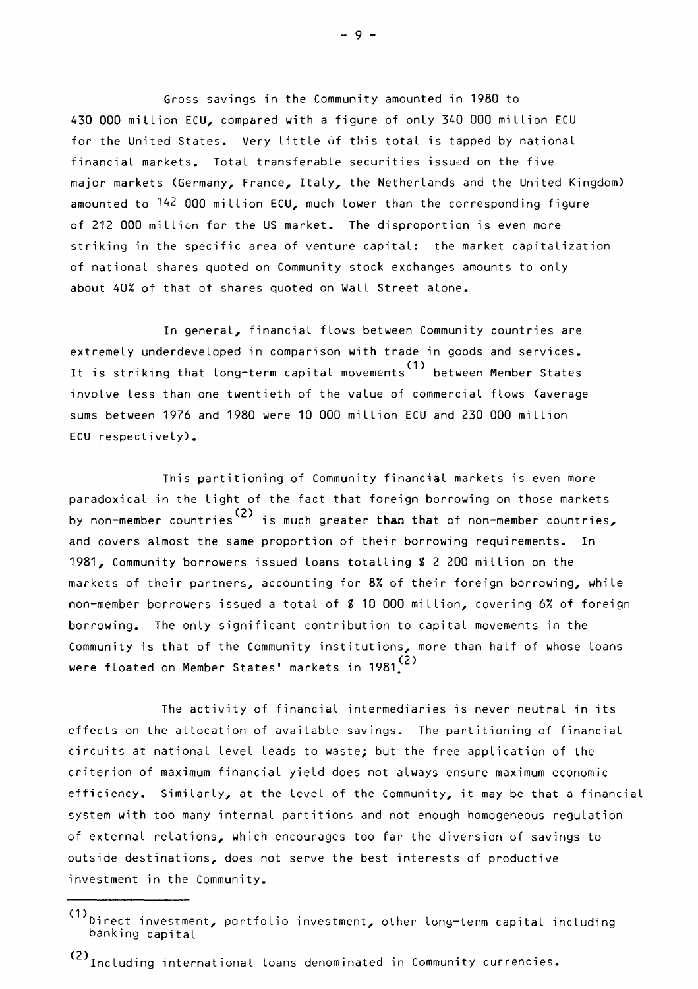Gross savings in the Community amounted in 1980 to 430 000 million ECU, compared with a figure of only 340 000 million ECU for the United States. Very little of this total is tapped by national financial markets. Total transferable securities issued on the five major markets (Germany, France, Italy, the Netherlands and the United Kingdom) amounted to <sup>142</sup> 000 million ECU, much lower than the corresponding figure of 212 000 million for the US market. The disproportion is even more striking in the specific area of venture capital: the market capitalization of national shares quoted on Community stock exchanges amounts to only about 40% of that of shares quoted on Wall Street alone.

In general, financial flows between Community countries are extremely underdeveloped in comparison with trade in goods and services. It is striking that long-term capital movements( 1) between Member States involve less than one twentieth of the value of commercial flows (average sums between 1976 and 1980 were 10 000 million ECU and 230 000 million ECU respectively).

This partitioning of Community financial markets is even more paradoxical in the light of the fact that foreign borrowing on those markets by non-member countries(2) is much greater than that of non-member countries, and covers almost the same proportion of their borrowing requirements. In 1981, Community borrowers issued loans totalling Z 2 200 million on the markets of their partners, accounting for 8% of their foreign borrowing, while non-member borrowers issued a total of \$ 10 000 million, covering 6% of foreign borrowing. The only significant contribution to capital movements in the Community is that of the Community institutions, more than half of whose loans were floated on Member States' markets in 1981 $(2)$ 

The activity of financial intermediaries is never neutral in its effects on the allocation of available savings. The partitioning of financial circuits at national Level Leads to waste; but the free application of the criterion of maximum financial yield does not always ensure maximum economic efficiency. Similarly, at the Level of the Community, it may be that a financial system with too many internal partitions and not enough homogeneous regulation of external relations, which encourages too far the diversion of savings to outside destinations, does not serve the best interests of productive investment in the Community.

- 9 -

<sup>(1)</sup>  $\frac{1}{2}$  investment, portfolio investment, other long-term capital including banking capital

<sup>(2)</sup> Including international loans denominated in Community currencies.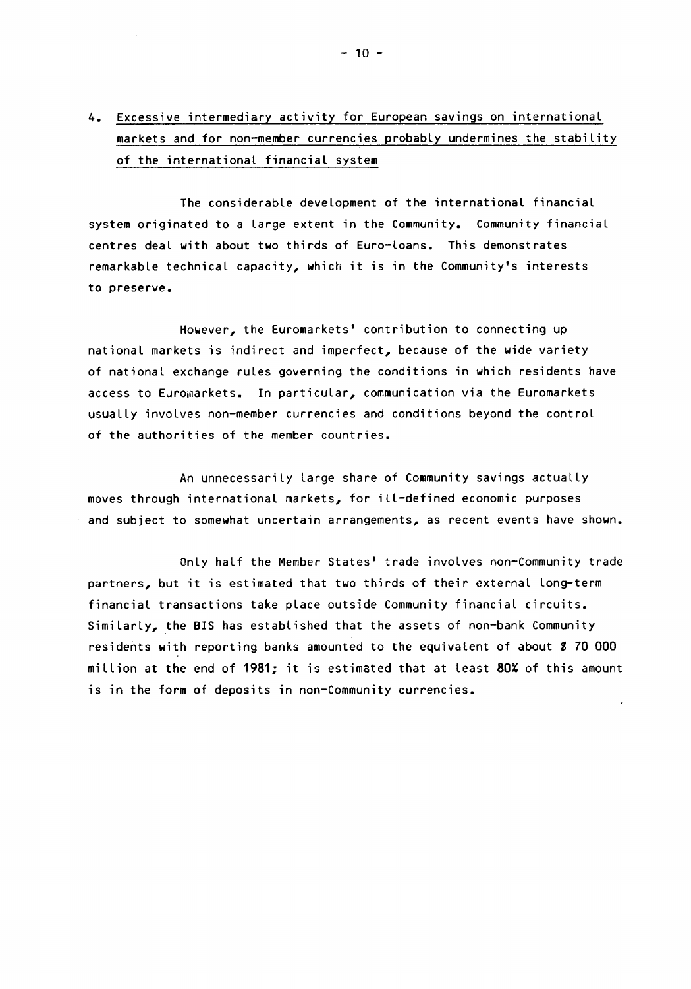# 4. Excessive intermediary activity for European savings on international markets and for non-member currencies probably undermines the stability of the international financial system

The considerable development of the international financial system originated to a large extent in the Community. Community financial centres deal with about two thirds of Euro-loans. This demonstrates remarkable technical capacity, which it is in the Community's interests to preserve.

However, the Euromarkets' contribution to connecting up national markets is indirect and imperfect, because of the wide variety of national exchange rules governing the conditions in which residents have access to Euromarkets. In particular, communication via the Euromarkets usually involves non-member currencies and conditions beyond the control of the authorities of the member countries.

An unnecessarily Large share of Community savings actually moves through international markets, for ill-defined economic purposes and subject to somewhat uncertain arrangements, as recent events have shown.

Only half the Member States' trade involves non-Community trade partners, but it is estimated that two thirds of their external long-term financial transactions take place outside Community financial circuits. Similarly, the BIS has established that the assets of non-bank Community residents with reporting banks amounted to the equivalent of about S 70 000 million at the end of 1981; it is estimated that at least 80% of this amount is in the form of deposits in non-Community currencies.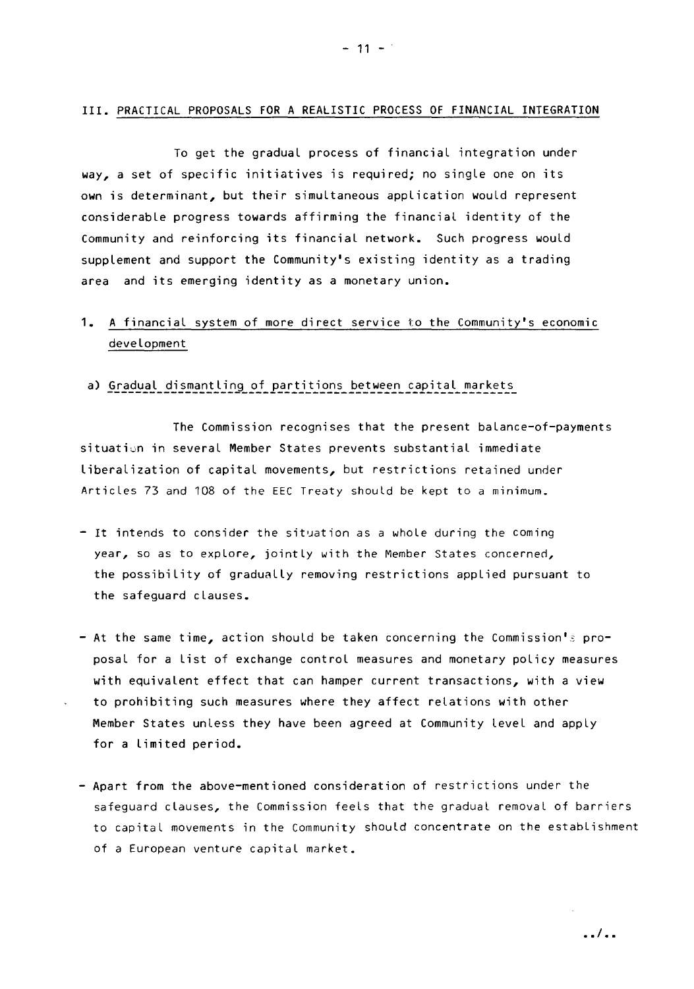#### III. PRACTICAL PROPOSALS FOR A REALISTIC PROCESS OF FINANCIAL INTEGRATION

To get the gradual process of financial integration under way, a set of specific initiatives is required; no single one on its own is determinant, but their simultaneous application would represent considerable progress towards affirming the financial identity of the Community and reinforcing its financial network. Such progress would supplement and support the Community's existing identity as a trading area and its emerging identity as a monetary union.

# 1. A financial system of more direct service to the Community's economic development

### a) Gradual dismantling of partitions between capital markets

The Commission recognises that the present balance-of-payments situation in several Member States prevents substantial immediate Liberalization of capital movements, but restrictions retained under Articles 73 and 108 of the EEC Treaty should be kept to a minimum.

- $-$  It intends to consider the situation as a whole during the coming year, so as to explore, jointly with the Member States concerned, the possibility of gradually removing restrictions applied pursuant to the safeguard clauses.
- At the same time, action should be taken concerning the Commission's proposal for a List of exchange control measures and monetary policy measures with equivalent effect that can hamper current transactions, with a view to prohibiting such measures where they affect relations with other Member States unless they have been agreed at Community level and apply for a Limited period.
- Apart from the above-mentioned consideration of restrictions under the safeguard clauses, the Commission feels that the gradual removal of barriers to capital movements in the Community should concentrate on the establishment of a European venture capital market.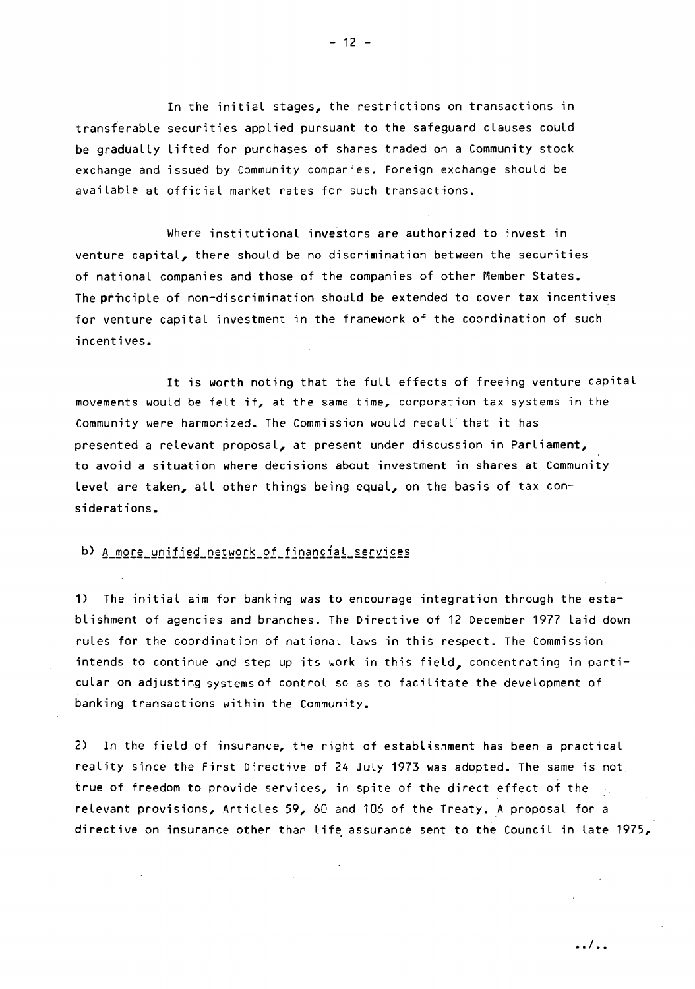In the initial stages, the restrictions on transactions in transferable securities applied pursuant to the safeguard clauses could be gradually lifted for purchases of shares traded on a Community stock exchange and issued by Community companies. Foreign exchange should be available at official market rates for such transactions.

Where institutional investors are authorized to invest in venture capital, there should be no discrimination between the securities of national companies and those of the companies of other Member States. The principle of non-discrimination should be extended to cover tax incentives for venture capital investment in the framework of the coordination of such incentives.

It is worth noting that the full effects of freeing venture capital movements would be felt if, at the same time, corporation tax systems in the Community were harmonized. The Commission would recall that it has presented a relevant proposal, at present under discussion in Parliament, to avoid a situation where decisions about investment in shares at Community level are taken, all other things being equal, on the basis of tax considerations.

# b) A more unified network of financial services

1) The initial aim for banking was to encourage integration through the establishment of agencies and branches. The Directive of 12 December 1977 Laid down rules for the coordination of national Laws in this respect. The Commission intends to continue and step up its work in this field, concentrating in particular on adjusting systemsof control so as to facilitate the development of banking transactions within the Community.

2) In the field of insurance, the right of establishment has been a practical reality since the First Directive of 24 July 1973 was adopted. The same is not true of freedom to provide services, in spite of the direct effect of the relevant provisions, Articles 59, 60 and 106 of the Treaty. A proposal for a directive on insurance other than life assurance sent to the Council in late 1975,

•. I ••

 $- 12 -$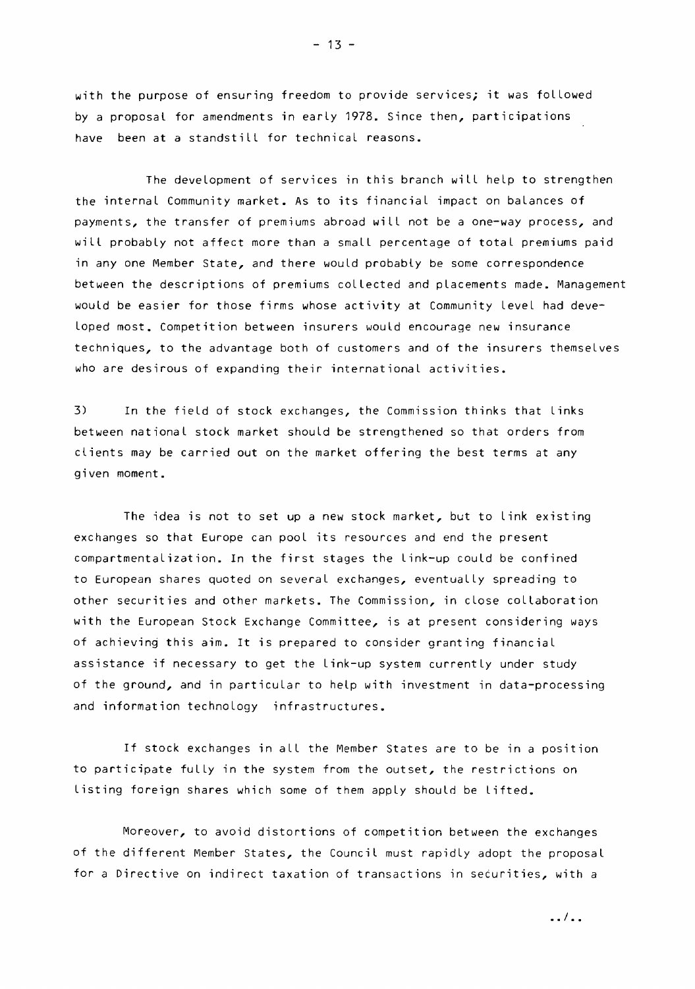with the purpose of ensuring freedom to provide services; it was followed by a proposal for amendments in early 1978. Since then, participations have been at a standstill for technical reasons.

The development of services in this branch will help to strengthen the internal Community market. As to its financial impact on balances of payments, the transfer of premiums abroad will not be a one-way process, and will probably not affect more than a small percentage of total premiums paid in any one Member State, and there would probably be some correspondence between the descriptions of premiums collected and placements made. Management would be easier for those firms whose activity at Community Level had developed most. Competition between insurers would encourage new insurance techniques, to the advantage both of customers and of the insurers themselves who are desirous of expanding their international activities.

3) In the field of stock exchanges, the Commission thinks that Links between national stock market should be strengthened so that orders from clients may be carried out on the market offering the best terms at any given moment.

The idea is not to set up a new stock market, but to Link existing exchanges so that Europe can pool its resources and end the present compartmentalization. In the first stages the Link-up could be confined to European shares quoted on several exchanges, eventually spreading to other securities and other markets. The Commission, in close collaboration with the European Stock Exchange Committee, is at present considering ways of achieving this aim. It is prepared to consider granting financial assistance if necessary to get the Link-up system currently under study of the ground, and in particular to help with investment in data-processing and information technology infrastructures.

If stock exchanges in all the Member States are to be in a position to participate fully in the system from the outset, the restrictions on Listing foreign shares which some of them apply should be Lifted.

Moreover, to avoid distortions of competition between the exchanges of the different Member States, the Council must rapidly adopt the proposal for a Directive on indirect taxation of transactions in securities, with a

 $-13 -$ 

•• I ••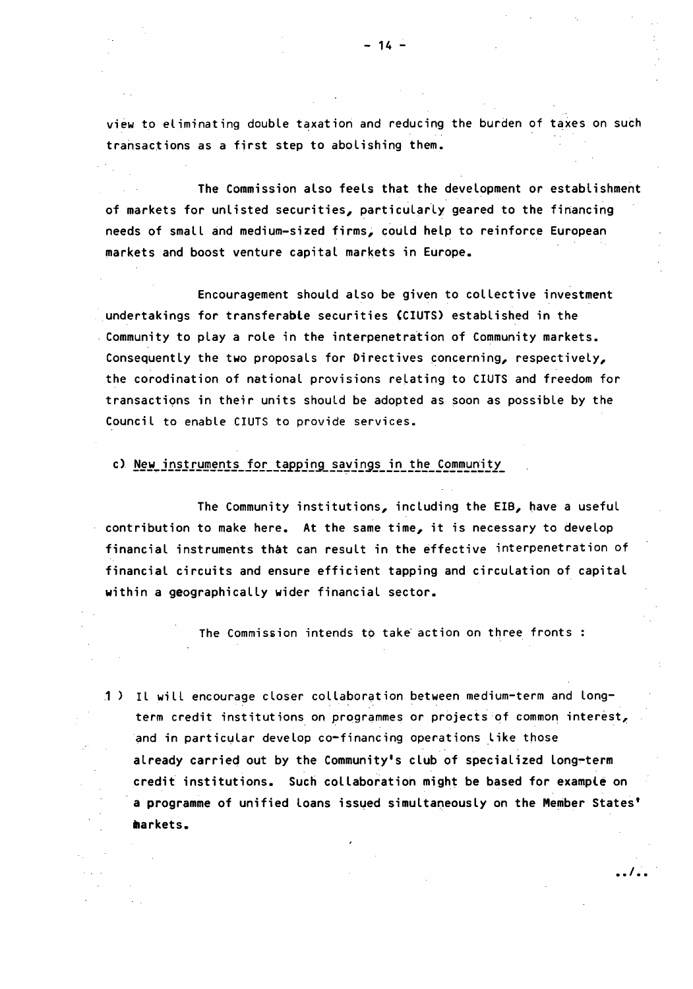view to eliminating double taxation and reducing the burden of taxes on such transactions as a first step to abolishing them.

The Commission also feels that the development or establishment of markets for unlisted securities, particularly geared to the financing needs of small and medium-sized firms; could help to reinforce European markets and boost venture capital markets in Europe.

Encouragement should also be given to collective investment undertakings for transferable securities (CIUTS) established in the Community to play a role in the interpenetration of Community markets. Consequently the two proposals for Directives concerning, respectively, the corodination of national provisions relating to CIUTS and freedom for transactions in their units should be adopted as soon as possible by the Council to enable CIUTS to provide services.

### c) New instruments for tapping savings in the Community

The Community institutions, including the EIB, have a useful contribution to make here. At the same time, it is necessary to develop financial instruments that can result in the effective interpenetration of financial circuits and ensure efficient tapping and circulation of capital within a geographically wider financial sector.

The Commission intends to take action on three fronts :

1) Il will encourage closer collaboration between medium-term and longterm credit institutions on programmes or projects of common interest, and in particular develop co-financing operations like those already carried out by the Community's club of specialized long-term credit institutions. Such collaboration might be based for example on a programme of unified loans issued simultaneously on the Member States' markets.

• .I •.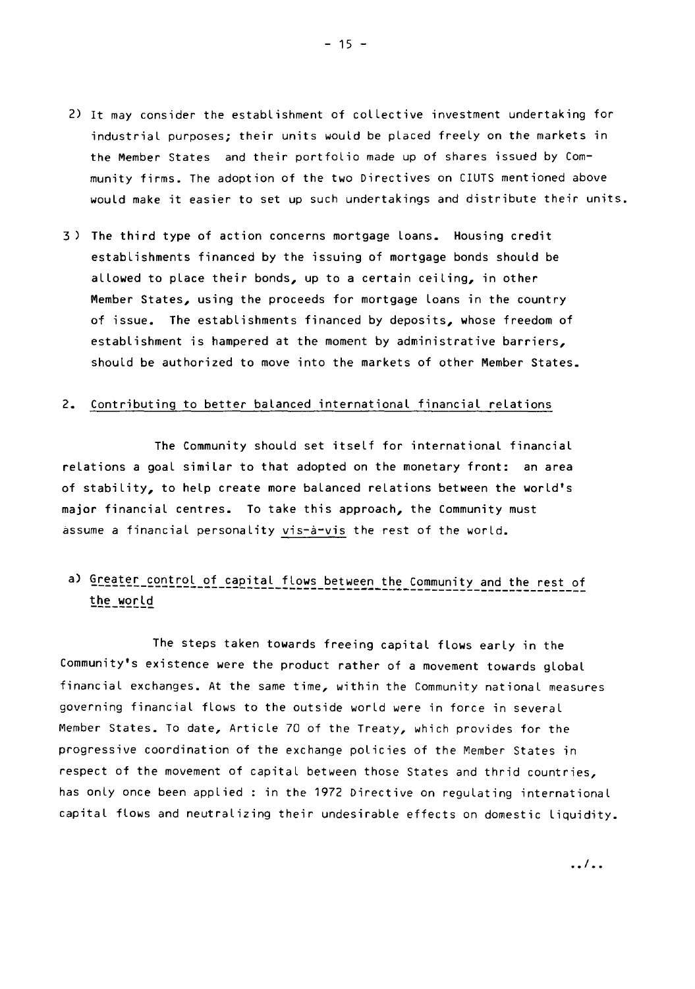- 2) It may consider the establishment of collective investment undertaking for industrial purposes; their units would be placed freely on the markets in the Member States and their portfolio made up of shares issued by Community firms. The adoption of the two Directives on CIUTS mentioned above would make it easier to set up such undertakings and distribute their units.
- 3 ) The third type of action concerns mortgage loans. Housing credit establishments financed by the issuing of mortgage bonds should be allowed to place their bonds, up to a certain ceiling, in other Member States, using the proceeds for mortgage Loans in the country of issue. The establishments financed by deposits, whose freedom of establishment is hampered at the moment by administrative barriers, should be authorized to move into the markets of other Member States.

### 2. Contributing to better balanced international financial relations

The Community should set itself for international financial relations a goal similar to that adopted on the monetary front: an area of stability, to help create more balanced relations between the world's major financial centres. To take this approach, the Community must assume a financial personality vis-a-vis the rest of the world.

#### a) Greater control of capital flows between the Community and the rest of ------------------------~------------------------------  $the$  $w$ or $ed$

The steps taken towards freeing capital flows early in the Community's existence were the product rather of a movement towards global financial exchanges. At the same time, within the Community national measures governing financial flows to the outside world were in force in several Member States. To date, Article 70 of the Treaty, which provides for the progressive coordination of the exchange policies of the Member States in respect of the movement of capital between those States and thrid countries, has only once been applied : in the 1972 Directive on regulating international capital flows and neutralizing their undesirable effects on domestic liquidity.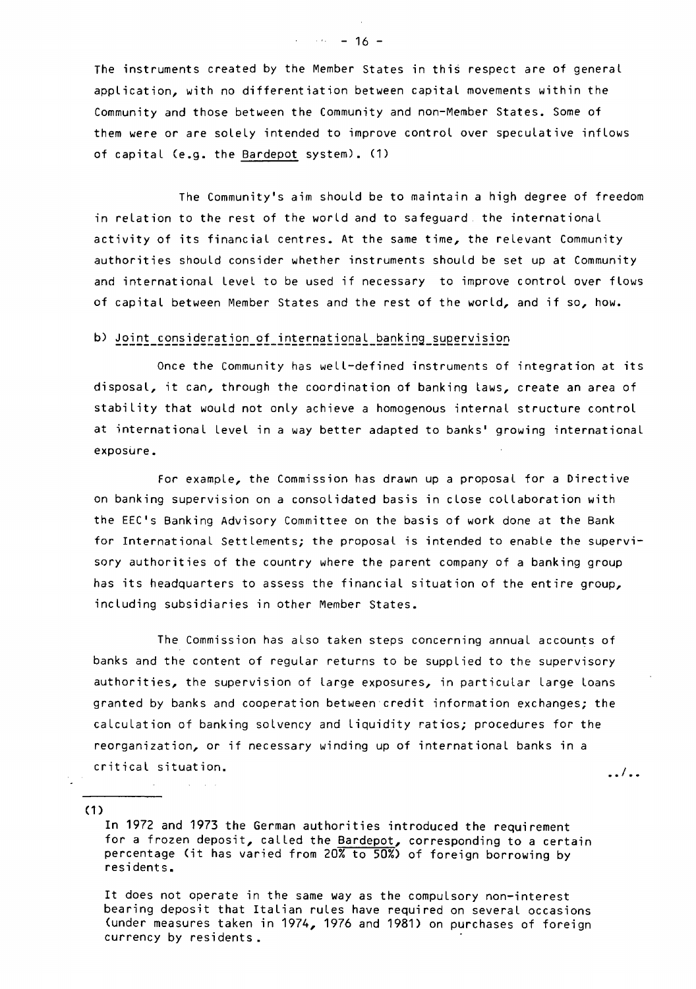The instruments created by the Member States in this respect are of general application, with no differentiation between capital movements within the Community and those between the Community and non-Member States. Some of them were or are solely intended to improve control over speculative inflows of capital (e.g. the Bardepot system). (1)

The Community's aim should be to maintain a high degree of freedom in relation to the rest of the world and to safeguard. the international activity of its financial centres. At the same time, the relevant Community authorities should consider whether instruments should be set up at Community and international Level to be used if necessary to improve control over flows of capital between Member States and the rest of the world, and if so, how.

### b) Joint consideration of international banking supervision

Once the Community has well-defined instruments of integration at its disposal, it can, through the coordination of banking laws, create an area of stability that would not only achieve a homogenous internal structure control at international Level in a way better adapted to banks' growing international exposure.

For example, the Commission has drawn up a proposal for a Directive on banking supervision on a consolidated basis in close collaboration with the EEC's Banking Advisory Committee on the basis of work done at the Bank for International Settlements; the proposal is intended to enable the supervisory authorities of the country where the parent company of a banking group has its headquarters to assess the financial situation of the entire group, including subsidiaries in other Member States.

The Commission has also taken steps concerning annual accounts of banks and the content of regular returns to be supplied to the supervisory authorities, the supervision of Large exposures, in particular Large loans granted by banks and cooperation between credit information exchanges; the calculation of banking solvency and Liquidity ratios; procedures for the reorganization, or if necessary winding up of international banks in a critical situation.

. • I ••

(1)

In 1972 and 1973 the German authorities introduced the requirement for a frozen deposit, called the Bardepot, corresponding to a certain percentage Cit has varied from 20% to 50%) of foreign borrowing by residents.

It does not operate in the same way as the compulsory non-interest bearing deposit that Italian rules have required on several occasions (under measures taken in 1974, 1976 and 1981) on purchases of foreign currency by residents.

 $\cdot$  16 - 16 -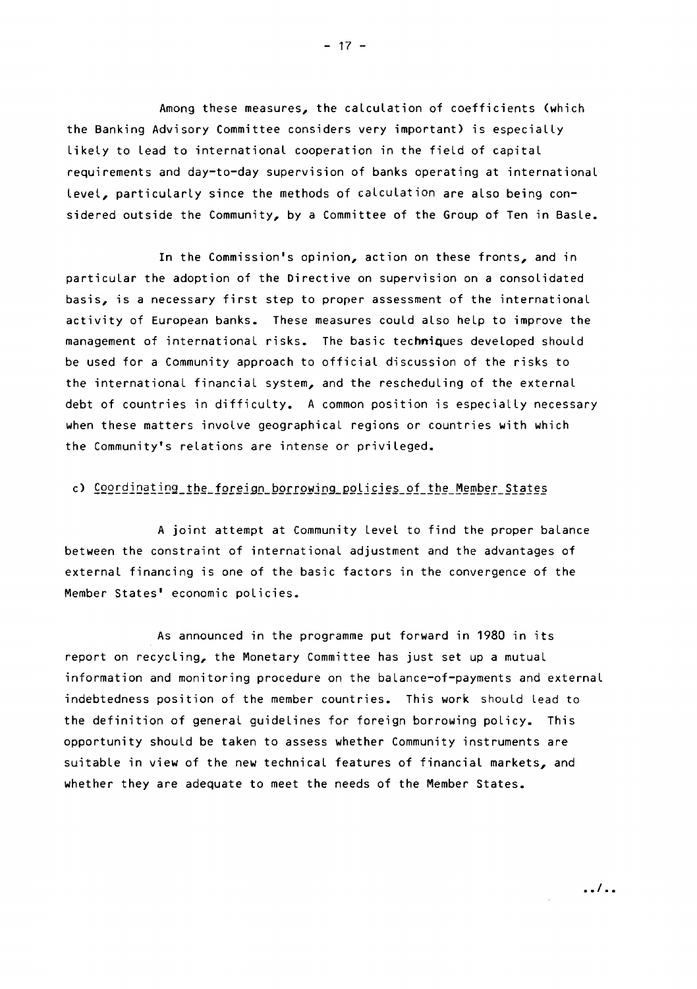Among these measures, the calculation of coefficients (which the Banking Advisory Committee considers very important) is especially likely to lead to international cooperation in the field of capital requirements and day-to-day supervision of banks operating at international level, particularly since the methods of calculation are also being considered outside the Community, by a Committee of the Group of Ten in Basle.

In the Commission's opinion, action on these fronts, and in particular the adoption of the Directive on supervision on a consolidated basis, is a necessary first step to proper assessment of the international activity of European banks. These measures could also help to improve the management of international risks. The basic techniques developed should be used for a Community approach to official discussion of the risks to the international financial system, and the rescheduling of the external debt of countries in difficulty. A common position is especially necessary when these matters involve geographical regions or countries with which the Community's relations are intense or privileged.

### c) Coordinating the foreign borrowing policies of the Member States

A joint attempt at Community Level to find the proper balance between the constraint of international adjustment and the advantages of external financing is one of the basic factors in the convergence of the Member States' economic policies.

As announced in the programme put forward in 1980 in its report on recycling, the Monetary Committee has just set up a mutual information and monitoring procedure on the balance-of-payments and external indebtedness position of the member countries. This work should lead to the definition of general guidelines for foreign borrowing policy. This opportunity should be taken to assess whether Community instruments are suitable in view of the new technical features of financial markets, and whether they are adequate to meet the needs of the Member States.

. .I . .

 $- 17 -$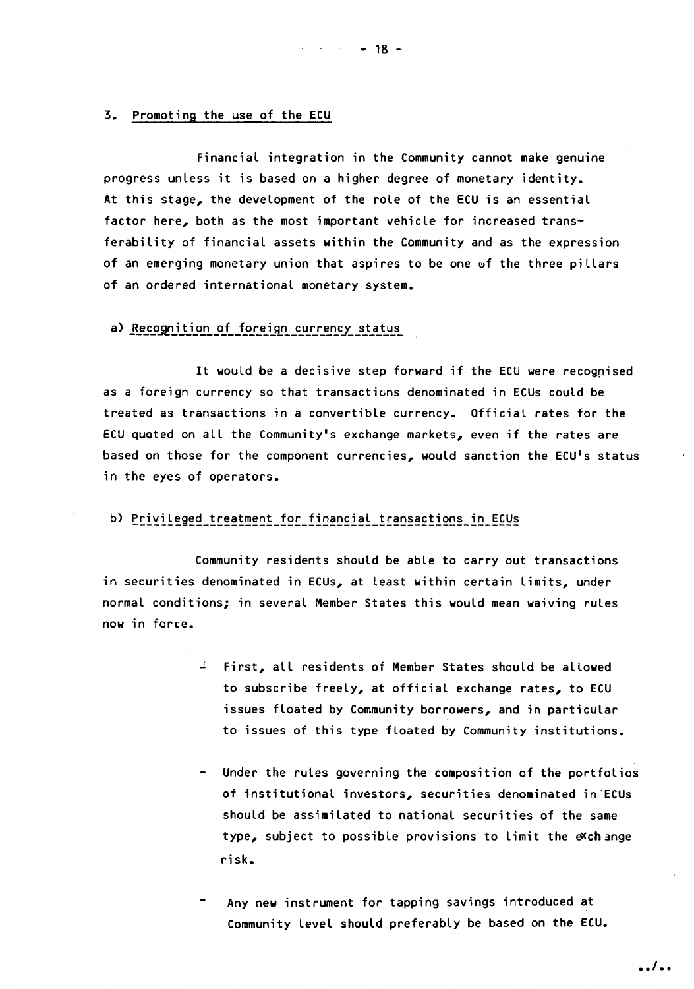#### 3. Promoting the use of the ECU

Financial integration in the Community cannot make genuine progress unless it is based on a higher degree of monetary identity. At this stage, the development of the role of the ECU is an essential factor here, both as the most important vehicle for increased transferability of financial assets within the Community and as the expression of an emerging monetary union that aspires to be one of the three pillars of an ordered international monetary system.

### a) Recognition of foreign currency status

It would be a decisive step forward if the ECU were recognised as a foreign currency so that transactions denominated in ECUs could be treated as transactions in a convertible currency. Official rates for the ECU quoted on all the Community's exchange markets, even if the rates are based on those for the component currencies, would sanction the ECU's status in the eyes of operators.

### b) Privileged treatment for financial transactions in ECUs

Community residents should be able to carry out transactions in securities denominated in ECUs, at least within certain limits, under normal conditions; in several Member States this would mean waiving rules now in force.

- $\div$  First, all residents of Member States should be allowed to subscribe freely, at official exchange rates, to ECU issues floated by Community borrowers, and in particular to issues of this type floated by Community institutions.
- Under the rules governing the composition of the portfolios of institutional investors, securities denominated in ECUs should be assimilated to national securities of the same type, subject to possible provisions to limit the  $\ll$ ch ange risk.
- Any new instrument for tapping savings introduced at Community level should preferably be based on the ECU.

*..1 ••* 

 $-$  18 -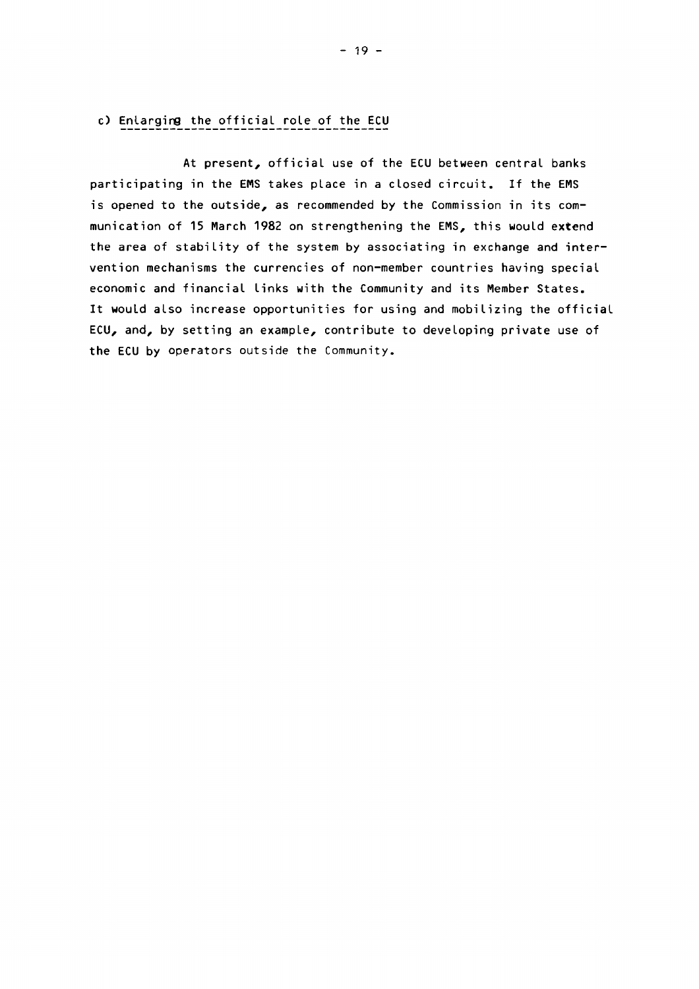At present, official use of the ECU between central banks participating in the EMS takes place in a closed circuit. If the EMS is opened to the outside, as recommended by the Commission in its communication of 15 March 1982 on strengthening the EMS, this would extend the area of stability of the system by associating in exchange and intervention mechanisms the currencies of non-member countries having special economic and financial links with the Community and its Member States. It would also increase opportunities for using and mobilizing the official ECU, and, by setting an example, contribute to developing private use of the ECU by operators outside the Community.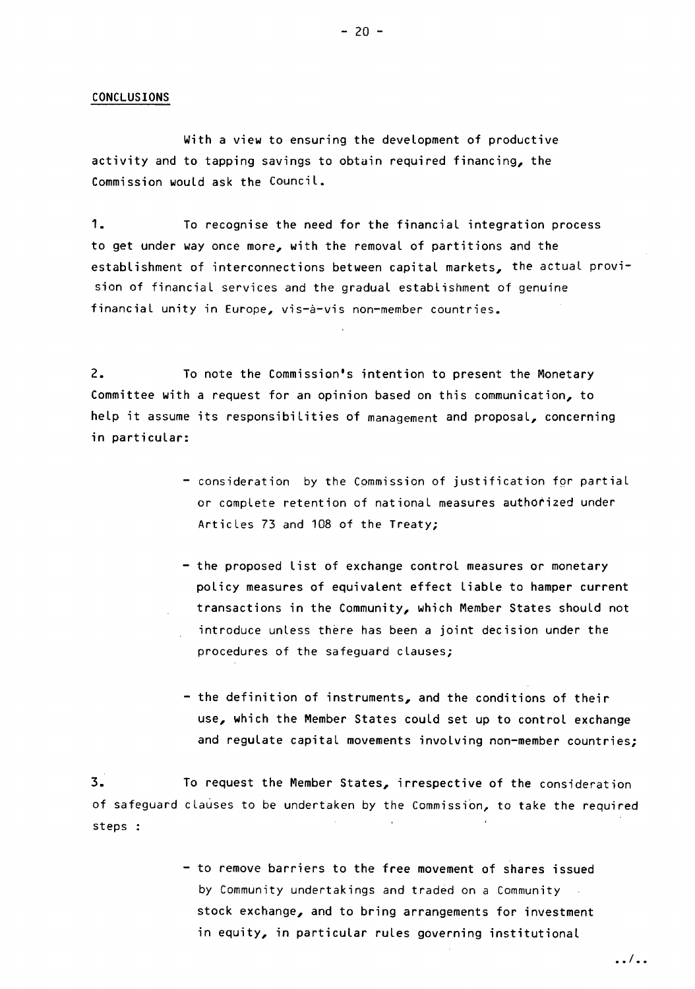#### CONCLUSIONS

With a view to ensuring the development of productive activity and to tapping savings to obtain required financing, the Commission would ask the Council.

1. To recognise the need for the financial integration process to get under way once more, with the removal of partitions and the establishment of interconnections between capital markets, the actual provision of financial services and the gradual establishment of genuine financial unity in Europe, vis-à-vis non-member countries.

2. To note the Commission's intention to present the Monetary Committee with a request for an opinion based on this communication, to help it assume its responsibilities of management and proposal, concerning in particular:

- consideration by the Commission of justification fqr partial or complete retention of national measures authorized under Articles 73 and 108 of the Treaty;
- the proposed list of exchange control measures or monetary policy measures of equivalent effect liable to hamper current transactions in the Community, which Member States should not introduce unless there has been a joint decision under the procedures of the safeguard clauses;
- the definition of instruments, and the conditions of their use, which the Member States could set up to control exchange and regulate capital movements involving non-member countries;

3. To request the Member States, irrespective of the consideration of safeguard clauses to be undertaken by the Commission, to take the required steps :

> - to remove barriers to the free movement of shares issued by Community undertakings and traded on a Community stock exchange, and to bring arrangements for investment in equity, in particular rules governing institutional

> > $\ldots$